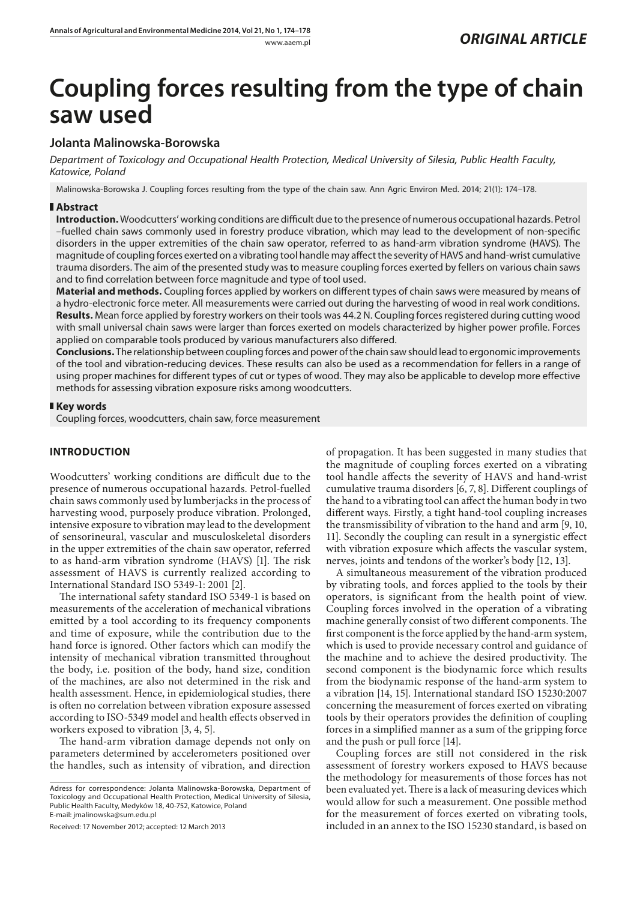# **Coupling forces resulting from the type of chain saw used**

## **Jolanta Malinowska-Borowska**

*Department of Toxicology and Occupational Health Protection, Medical University of Silesia, Public Health Faculty, Katowice, Poland*

Malinowska-Borowska J. Coupling forces resulting from the type of the chain saw. Ann Agric Environ Med. 2014; 21(1): 174–178.

## **Abstract**

**Introduction.** Woodcutters' working conditions are difficult due to the presence of numerous occupational hazards. Petrol –fuelled chain saws commonly used in forestry produce vibration, which may lead to the development of non-specific disorders in the upper extremities of the chain saw operator, referred to as hand-arm vibration syndrome (HAVS). The magnitude of coupling forces exerted on a vibrating tool handle may affect the severity of HAVS and hand-wrist cumulative trauma disorders. The aim of the presented study was to measure coupling forces exerted by fellers on various chain saws and to find correlation between force magnitude and type of tool used.

**Material and methods.** Coupling forces applied by workers on different types of chain saws were measured by means of a hydro-electronic force meter. All measurements were carried out during the harvesting of wood in real work conditions. **Results.** Mean force applied by forestry workers on their tools was 44.2 N. Coupling forces registered during cutting wood with small universal chain saws were larger than forces exerted on models characterized by higher power profile. Forces applied on comparable tools produced by various manufacturers also differed.

**Conclusions.** The relationship between coupling forces and power of the chain saw should lead to ergonomic improvements of the tool and vibration-reducing devices. These results can also be used as a recommendation for fellers in a range of using proper machines for different types of cut or types of wood. They may also be applicable to develop more effective methods for assessing vibration exposure risks among woodcutters.

### **Key words**

Coupling forces, woodcutters, chain saw, force measurement

## **INTRODUCTION**

Woodcutters' working conditions are difficult due to the presence of numerous occupational hazards. Petrol-fuelled chain saws commonly used by lumberjacks in the process of harvesting wood, purposely produce vibration. Prolonged, intensive exposure to vibration may lead to the development of sensorineural, vascular and musculoskeletal disorders in the upper extremities of the chain saw operator, referred to as hand-arm vibration syndrome (HAVS) [1]. The risk assessment of HAVS is currently realized according to International Standard ISO 5349-1: 2001 [2].

The international safety standard ISO 5349-1 is based on measurements of the acceleration of mechanical vibrations emitted by a tool according to its frequency components and time of exposure, while the contribution due to the hand force is ignored. Other factors which can modify the intensity of mechanical vibration transmitted throughout the body, i.e. position of the body, hand size, condition of the machines, are also not determined in the risk and health assessment. Hence, in epidemiological studies, there is often no correlation between vibration exposure assessed according to ISO-5349 model and health effects observed in workers exposed to vibration [3, 4, 5].

The hand-arm vibration damage depends not only on parameters determined by accelerometers positioned over the handles, such as intensity of vibration, and direction

Received: 17 November 2012; accepted: 12 March 2013

of propagation. It has been suggested in many studies that the magnitude of coupling forces exerted on a vibrating tool handle affects the severity of HAVS and hand-wrist cumulative trauma disorders [6, 7, 8]. Different couplings of the hand to a vibrating tool can affect the human body in two different ways. Firstly, a tight hand-tool coupling increases the transmissibility of vibration to the hand and arm [9, 10, 11]. Secondly the coupling can result in a synergistic effect with vibration exposure which affects the vascular system, nerves, joints and tendons of the worker's body [12, 13].

A simultaneous measurement of the vibration produced by vibrating tools, and forces applied to the tools by their operators, is significant from the health point of view. Coupling forces involved in the operation of a vibrating machine generally consist of two different components. The first component is the force applied by the hand-arm system, which is used to provide necessary control and guidance of the machine and to achieve the desired productivity. The second component is the biodynamic force which results from the biodynamic response of the hand-arm system to a vibration [14, 15]. International standard ISO 15230:2007 concerning the measurement of forces exerted on vibrating tools by their operators provides the definition of coupling forces in a simplified manner as a sum of the gripping force and the push or pull force [14].

Coupling forces are still not considered in the risk assessment of forestry workers exposed to HAVS because the methodology for measurements of those forces has not been evaluated yet. There is a lack of measuring devices which would allow for such a measurement. One possible method for the measurement of forces exerted on vibrating tools, included in an annex to the ISO 15230 standard, is based on

Adress for correspondence: Jolanta Malinowska-Borowska, Department of Toxicology and Occupational Health Protection, Medical University of Silesia, Public Health Faculty, Medyków 18, 40-752, Katowice, Poland E-mail: jmalinowska@sum.edu.pl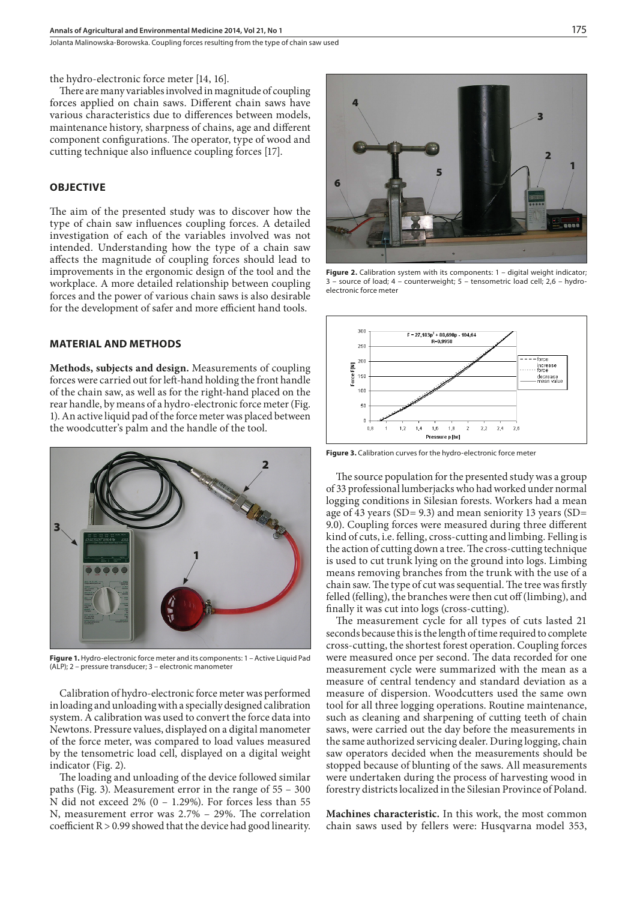Jolanta Malinowska-Borowska . Coupling forces resulting from the type of chain saw used

the hydro-electronic force meter [14, 16].

There are many variables involved in magnitude of coupling forces applied on chain saws. Different chain saws have various characteristics due to differences between models, maintenance history, sharpness of chains, age and different component configurations. The operator, type of wood and cutting technique also influence coupling forces [17].

#### **OBJECTIVE**

The aim of the presented study was to discover how the type of chain saw influences coupling forces. A detailed investigation of each of the variables involved was not intended. Understanding how the type of a chain saw affects the magnitude of coupling forces should lead to improvements in the ergonomic design of the tool and the workplace. A more detailed relationship between coupling forces and the power of various chain saws is also desirable for the development of safer and more efficient hand tools.

#### **MATERIAL AND METHODS**

**Methods, subjects and design.** Measurements of coupling forces were carried out for left-hand holding the front handle of the chain saw, as well as for the right-hand placed on the rear handle, by means of a hydro-electronic force meter (Fig. 1). An active liquid pad of the force meter was placed between the woodcutter's palm and the handle of the tool.



**Figure 1.** Hydro-electronic force meter and its components: 1 – Active Liquid Pad (ALP); 2 – pressure transducer; 3 – electronic manometer

Calibration of hydro-electronic force meter was performed in loading and unloading with a specially designed calibration system. A calibration was used to convert the force data into Newtons. Pressure values, displayed on a digital manometer of the force meter, was compared to load values measured by the tensometric load cell, displayed on a digital weight indicator (Fig. 2).

The loading and unloading of the device followed similar paths (Fig. 3). Measurement error in the range of 55 – 300 N did not exceed 2% (0 – 1.29%). For forces less than 55 N, measurement error was 2.7% – 29%. The correlation coefficient R > 0.99 showed that the device had good linearity.



**Figure 2.** Calibration system with its components: 1 – digital weight indicator;<br>3 – source of load; 4 – counterweight; 5 – tensometric load cell; 2,6 – hydro- $\overline{a}$  counterweight; 5 – tensometric load cell; 2,6 – hydroelectronic force meter



**Figure 3.** Calibration curves for the hydro-electronic force meter

The source population for the presented study was a group of 33 professional lumberjacks who had worked under normal logging conditions in Silesian forests. Workers had a mean age of 43 years (SD= 9.3) and mean seniority 13 years (SD= 9.0). Coupling forces were measured during three different kind of cuts, i.e. felling, cross-cutting and limbing. Felling is the action of cutting down a tree. The cross-cutting technique is used to cut trunk lying on the ground into logs. Limbing means removing branches from the trunk with the use of a chain saw. The type of cut was sequential. The tree was firstly felled (felling), the branches were then cut off (limbing), and finally it was cut into logs (cross-cutting).

The measurement cycle for all types of cuts lasted 21 seconds because this is the length of time required to complete cross-cutting, the shortest forest operation. Coupling forces were measured once per second. The data recorded for one measurement cycle were summarized with the mean as a measure of central tendency and standard deviation as a measure of dispersion. Woodcutters used the same own tool for all three logging operations. Routine maintenance, such as cleaning and sharpening of cutting teeth of chain saws, were carried out the day before the measurements in the same authorized servicing dealer. During logging, chain saw operators decided when the measurements should be stopped because of blunting of the saws. All measurements were undertaken during the process of harvesting wood in forestry districts localized in the Silesian Province of Poland.

**Machines characteristic.** In this work, the most common chain saws used by fellers were: Husqvarna model 353,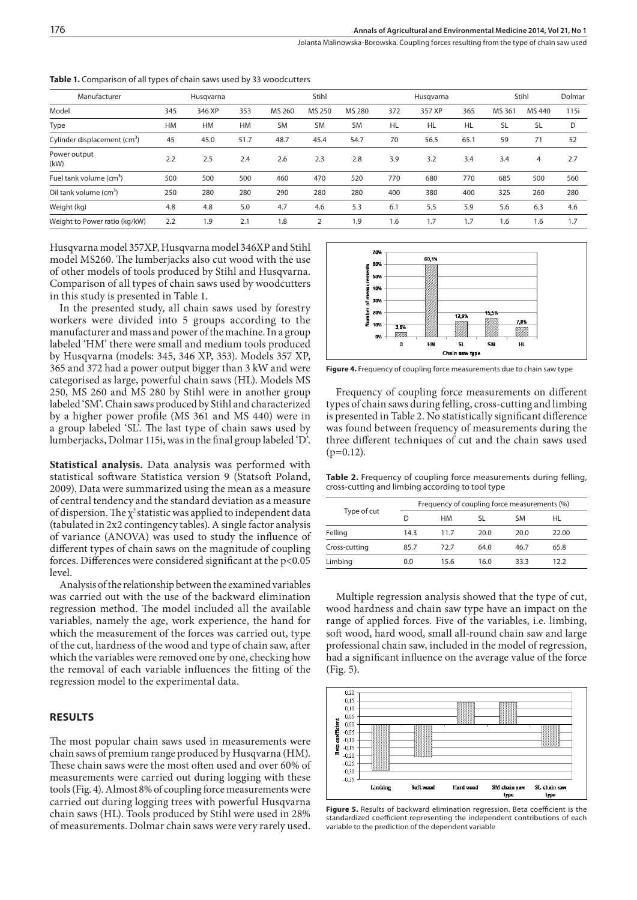Jolanta Malinowska-Borowska . Coupling forces resulting from the type of chain saw used

| Manufacturer                             | Husqvarna |           |           | Stihl     |                |           | Husgvarna |           |           | Stihl     |                | Dolmar |
|------------------------------------------|-----------|-----------|-----------|-----------|----------------|-----------|-----------|-----------|-----------|-----------|----------------|--------|
| Model                                    | 345       | 346 XP    | 353       | MS 260    | MS 250         | MS 280    | 372       | 357 XP    | 365       | MS 361    | MS 440         | 115i   |
| Type                                     | <b>HM</b> | <b>HM</b> | <b>HM</b> | <b>SM</b> | <b>SM</b>      | <b>SM</b> | HL        | <b>HL</b> | <b>HL</b> | <b>SL</b> | SL             | D      |
| Cylinder displacement (cm <sup>3</sup> ) | 45        | 45.0      | 51.7      | 48.7      | 45.4           | 54.7      | 70        | 56.5      | 65.1      | 59        | 71             | 52     |
| Power output<br>(kW)                     | 2.2       | 2.5       | 2.4       | 2.6       | 2.3            | 2.8       | 3.9       | 3.2       | 3.4       | 3.4       | $\overline{4}$ | 2.7    |
| Fuel tank volume (cm <sup>3</sup> )      | 500       | 500       | 500       | 460       | 470            | 520       | 770       | 680       | 770       | 685       | 500            | 560    |
| Oil tank volume (cm <sup>3</sup> )       | 250       | 280       | 280       | 290       | 280            | 280       | 400       | 380       | 400       | 325       | 260            | 280    |
| Weight (kg)                              | 4.8       | 4.8       | 5.0       | 4.7       | 4.6            | 5.3       | 6.1       | 5.5       | 5.9       | 5.6       | 6.3            | 4.6    |
| Weight to Power ratio (kg/kW)            | 2.2       | 1.9       | 2.1       | 1.8       | $\overline{2}$ | 1.9       | 1.6       | 1.7       | 1.7       | 1.6       | 1.6            | 1.7    |
|                                          |           |           |           |           |                |           |           |           |           |           |                |        |

**Table 1.** Comparison of all types of chain saws used by 33 woodcutters

Husqvarna model 357XP, Husqvarna model 346XP and Stihl model MS260. The lumberjacks also cut wood with the use of other models of tools produced by Stihl and Husqvarna. Comparison of all types of chain saws used by woodcutters in this study is presented in Table 1.

In the presented study, all chain saws used by forestry workers were divided into 5 groups according to the manufacturer and mass and power of the machine. In a group labeled 'HM' there were small and medium tools produced by Husqvarna (models: 345, 346 XP, 353). Models 357 XP, 365 and 372 had a power output bigger than 3 kW and were categorised as large, powerful chain saws (HL). Models MS 250, MS 260 and MS 280 by Stihl were in another group labeled 'SM'. Chain saws produced by Stihl and characterized by a higher power profile (MS 361 and MS 440) were in a group labeled 'SL'. The last type of chain saws used by lumberjacks, Dolmar 115i, was in the final group labeled 'D'.

**Statistical analysis.** Data analysis was performed with statistical software Statistica version 9 (Statsoft Poland, 2009). Data were summarized using the mean as a measure of central tendency and the standard deviation as a measure of dispersion. The  $\chi^2$  statistic was applied to independent data (tabulated in 2x2 contingency tables). A single factor analysis of variance (ANOVA) was used to study the influence of different types of chain saws on the magnitude of coupling forces. Differences were considered significant at the p<0.05 level.

Analysis of the relationship between the examined variables was carried out with the use of the backward elimination regression method. The model included all the available variables, namely the age, work experience, the hand for which the measurement of the forces was carried out, type of the cut, hardness of the wood and type of chain saw, after which the variables were removed one by one, checking how the removal of each variable influences the fitting of the regression model to the experimental data.

#### **RESULTS**

The most popular chain saws used in measurements were chain saws of premium range produced by Husqvarna (HM). These chain saws were the most often used and over 60% of measurements were carried out during logging with these tools (Fig. 4). Almost 8% of coupling force measurements were carried out during logging trees with powerful Husqvarna chain saws (HL). Tools produced by Stihl were used in 28% of measurements. Dolmar chain saws were very rarely used.



**Figure 4.** Frequency of coupling force measurements due to chain saw type

Frequency of coupling force measurements on different types of chain saws during felling, cross-cutting and limbing is presented in Table 2. No statistically significant difference was found between frequency of measurements during the three different techniques of cut and the chain saws used  $(p=0.12)$ .

**Table 2.** Frequency of coupling force measurements during felling, cross-cutting and limbing according to tool type

|               | Frequency of coupling force measurements (%) |      |      |      |       |  |  |  |
|---------------|----------------------------------------------|------|------|------|-------|--|--|--|
| Type of cut   | D                                            | HM   | SL   | SM   | HL    |  |  |  |
| Felling       | 14.3                                         | 11.7 | 20.0 | 20.0 | 22.00 |  |  |  |
| Cross-cutting | 85.7                                         | 72.7 | 64.0 | 46.7 | 65.8  |  |  |  |
| Limbing       | 0.0                                          | 15.6 | 16.0 | 33.3 | 12.2  |  |  |  |

Multiple regression analysis showed that the type of cut, wood hardness and chain saw type have an impact on the range of applied forces. Five of the variables, i.e. limbing, soft wood, hard wood, small all-round chain saw and large professional chain saw, included in the model of regression, had a significant influence on the average value of the force (Fig. 5).



**Figure 5.** Results of backward elimination regression. Beta coefficient is the standardized coefficient representing the independent contributions of each variable to the prediction of the dependent variable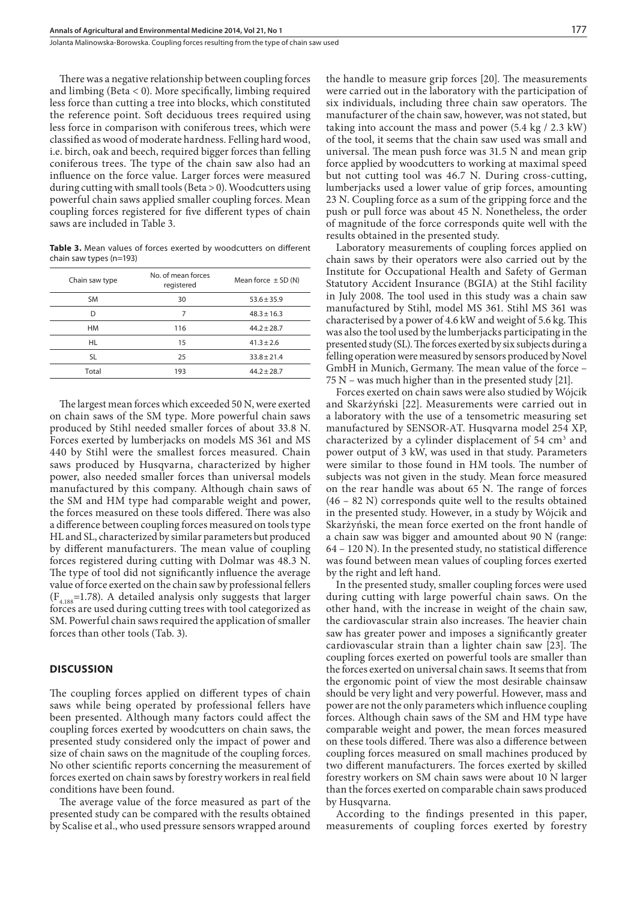Jolanta Malinowska-Borowska . Coupling forces resulting from the type of chain saw used

There was a negative relationship between coupling forces and limbing (Beta  $<$  0). More specifically, limbing required less force than cutting a tree into blocks, which constituted the reference point. Soft deciduous trees required using less force in comparison with coniferous trees, which were classified as wood of moderate hardness. Felling hard wood, i.e. birch, oak and beech, required bigger forces than felling coniferous trees. The type of the chain saw also had an influence on the force value. Larger forces were measured during cutting with small tools (Beta > 0). Woodcutters using powerful chain saws applied smaller coupling forces. Mean coupling forces registered for five different types of chain saws are included in Table 3.

**Table 3.** Mean values of forces exerted by woodcutters on different chain saw types (n=193)

| Chain saw type | No. of mean forces<br>registered | Mean force $\pm$ SD (N) |  |  |
|----------------|----------------------------------|-------------------------|--|--|
| <b>SM</b>      | 30                               | $53.6 + 35.9$           |  |  |
| D              | 7                                | $48.3 + 16.3$           |  |  |
| НM             | 116                              | $44.2 + 28.7$           |  |  |
| HL             | 15                               | $41.3 + 2.6$            |  |  |
| SL.            | 25                               | $33.8 + 21.4$           |  |  |
| Total          | 193                              | $44.2 + 28.7$           |  |  |
|                |                                  |                         |  |  |

The largest mean forces which exceeded 50 N, were exerted on chain saws of the SM type. More powerful chain saws produced by Stihl needed smaller forces of about 33.8 N. Forces exerted by lumberjacks on models MS 361 and MS 440 by Stihl were the smallest forces measured. Chain saws produced by Husqvarna, characterized by higher power, also needed smaller forces than universal models manufactured by this company. Although chain saws of the SM and HM type had comparable weight and power, the forces measured on these tools differed. There was also a difference between coupling forces measured on tools type HL and SL, characterized by similar parameters but produced by different manufacturers. The mean value of coupling forces registered during cutting with Dolmar was 48.3 N. The type of tool did not significantly influence the average value of force exerted on the chain saw by professional fellers  $(F_{4.188}=1.78)$ . A detailed analysis only suggests that larger forces are used during cutting trees with tool categorized as SM. Powerful chain saws required the application of smaller forces than other tools (Tab. 3).

## **DISCUSSION**

The coupling forces applied on different types of chain saws while being operated by professional fellers have been presented. Although many factors could affect the coupling forces exerted by woodcutters on chain saws, the presented study considered only the impact of power and size of chain saws on the magnitude of the coupling forces. No other scientific reports concerning the measurement of forces exerted on chain saws by forestry workers in real field conditions have been found.

The average value of the force measured as part of the presented study can be compared with the results obtained by Scalise et al., who used pressure sensors wrapped around the handle to measure grip forces [20]. The measurements were carried out in the laboratory with the participation of six individuals, including three chain saw operators. The manufacturer of the chain saw, however, was not stated, but taking into account the mass and power (5.4 kg / 2.3 kW) of the tool, it seems that the chain saw used was small and universal. The mean push force was 31.5 N and mean grip force applied by woodcutters to working at maximal speed but not cutting tool was 46.7 N. During cross-cutting, lumberjacks used a lower value of grip forces, amounting 23 N. Coupling force as a sum of the gripping force and the push or pull force was about 45 N. Nonetheless, the order of magnitude of the force corresponds quite well with the results obtained in the presented study.

Laboratory measurements of coupling forces applied on chain saws by their operators were also carried out by the Institute for Occupational Health and Safety of German Statutory Accident Insurance (BGIA) at the Stihl facility in July 2008. The tool used in this study was a chain saw manufactured by Stihl, model MS 361. Stihl MS 361 was characterised by a power of 4.6 kW and weight of 5.6 kg. This was also the tool used by the lumberjacks participating in the presented study (SL). The forces exerted by six subjects during a felling operation were measured by sensors produced by Novel GmbH in Munich, Germany. The mean value of the force – 75 N – was much higher than in the presented study [21].

Forces exerted on chain saws were also studied by Wójcik and Skarżyński [22]. Measurements were carried out in a laboratory with the use of a tensometric measuring set manufactured by SENSOR-AT. Husqvarna model 254 XP, characterized by a cylinder displacement of  $54 \text{ cm}^3$  and power output of 3 kW, was used in that study. Parameters were similar to those found in HM tools. The number of subjects was not given in the study. Mean force measured on the rear handle was about 65 N. The range of forces (46 – 82 N) corresponds quite well to the results obtained in the presented study. However, in a study by Wójcik and Skarżyński, the mean force exerted on the front handle of a chain saw was bigger and amounted about 90 N (range: 64 – 120 N). In the presented study, no statistical difference was found between mean values of coupling forces exerted by the right and left hand.

In the presented study, smaller coupling forces were used during cutting with large powerful chain saws. On the other hand, with the increase in weight of the chain saw, the cardiovascular strain also increases. The heavier chain saw has greater power and imposes a significantly greater cardiovascular strain than a lighter chain saw [23]. The coupling forces exerted on powerful tools are smaller than the forces exerted on universal chain saws. It seems that from the ergonomic point of view the most desirable chainsaw should be very light and very powerful. However, mass and power are not the only parameters which influence coupling forces. Although chain saws of the SM and HM type have comparable weight and power, the mean forces measured on these tools differed. There was also a difference between coupling forces measured on small machines produced by two different manufacturers. The forces exerted by skilled forestry workers on SM chain saws were about 10 N larger than the forces exerted on comparable chain saws produced by Husqvarna.

According to the findings presented in this paper, measurements of coupling forces exerted by forestry